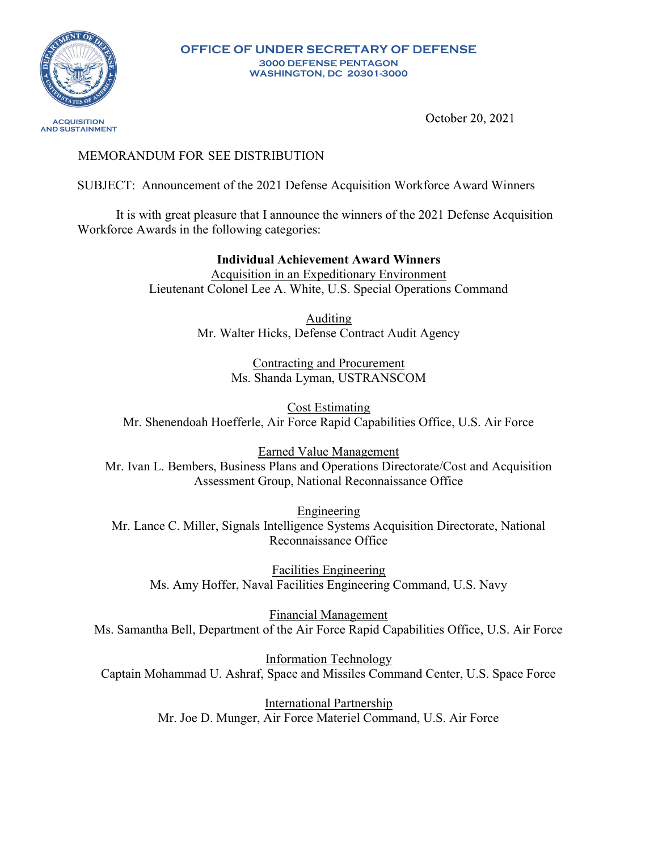

OFFICE OF UNDER SECRETARY OF DEFENSE 3000 DEFENSE PENTAGON WASHINGTON, DC 20301-3000

October 20, 2021

# MEMORANDUM FOR SEE DISTRIBUTION

SUBJECT: Announcement of the 2021 Defense Acquisition Workforce Award Winners

It is with great pleasure that I announce the winners of the 2021 Defense Acquisition Workforce Awards in the following categories:

> Individual Achievement Award Winners Acquisition in an Expeditionary Environment Lieutenant Colonel Lee A. White, U.S. Special Operations Command

> > Auditing Mr. Walter Hicks, Defense Contract Audit Agency

> > > Contracting and Procurement Ms. Shanda Lyman, USTRANSCOM

Cost Estimating Mr. Shenendoah Hoefferle, Air Force Rapid Capabilities Office, U.S. Air Force

Earned Value Management Mr. Ivan L. Bembers, Business Plans and Operations Directorate/Cost and Acquisition Assessment Group, National Reconnaissance Office

Engineering Mr. Lance C. Miller, Signals Intelligence Systems Acquisition Directorate, National Reconnaissance Office

Facilities Engineering Ms. Amy Hoffer, Naval Facilities Engineering Command, U.S. Navy

Financial Management Ms. Samantha Bell, Department of the Air Force Rapid Capabilities Office, U.S. Air Force

Information Technology Captain Mohammad U. Ashraf, Space and Missiles Command Center, U.S. Space Force

> International Partnership Mr. Joe D. Munger, Air Force Materiel Command, U.S. Air Force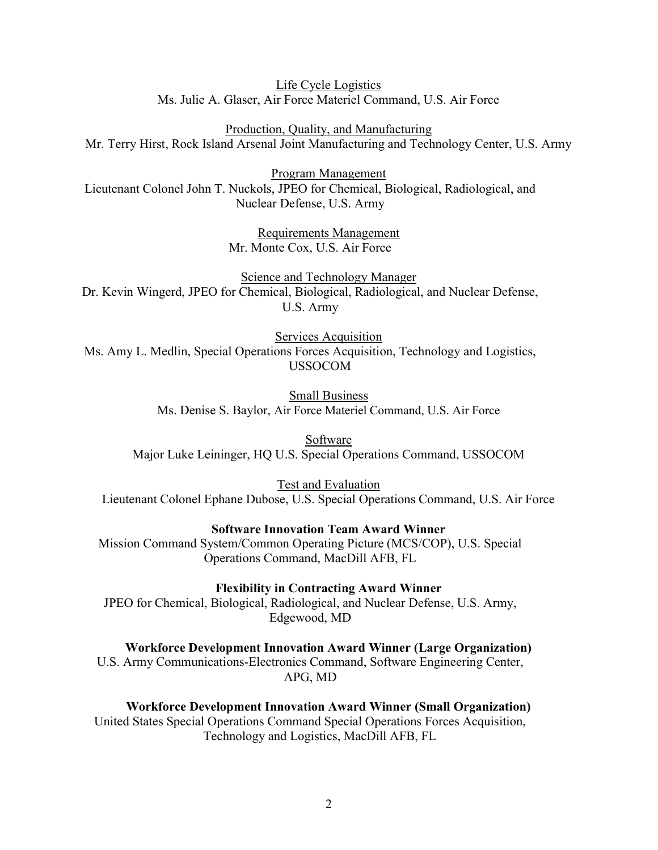Life Cycle Logistics Ms. Julie A. Glaser, Air Force Materiel Command, U.S. Air Force

Production, Quality, and Manufacturing Mr. Terry Hirst, Rock Island Arsenal Joint Manufacturing and Technology Center, U.S. Army

Program Management Lieutenant Colonel John T. Nuckols, JPEO for Chemical, Biological, Radiological, and Nuclear Defense, U.S. Army

> Requirements Management Mr. Monte Cox, U.S. Air Force

Science and Technology Manager Dr. Kevin Wingerd, JPEO for Chemical, Biological, Radiological, and Nuclear Defense, U.S. Army

Services Acquisition Ms. Amy L. Medlin, Special Operations Forces Acquisition, Technology and Logistics, USSOCOM

> Small Business Ms. Denise S. Baylor, Air Force Materiel Command, U.S. Air Force

Software Major Luke Leininger, HQ U.S. Special Operations Command, USSOCOM

Test and Evaluation Lieutenant Colonel Ephane Dubose, U.S. Special Operations Command, U.S. Air Force

Software Innovation Team Award Winner

Mission Command System/Common Operating Picture (MCS/COP), U.S. Special Operations Command, MacDill AFB, FL

Flexibility in Contracting Award Winner

JPEO for Chemical, Biological, Radiological, and Nuclear Defense, U.S. Army, Edgewood, MD

Workforce Development Innovation Award Winner (Large Organization) U.S. Army Communications-Electronics Command, Software Engineering Center,

APG, MD

Workforce Development Innovation Award Winner (Small Organization) United States Special Operations Command Special Operations Forces Acquisition, Technology and Logistics, MacDill AFB, FL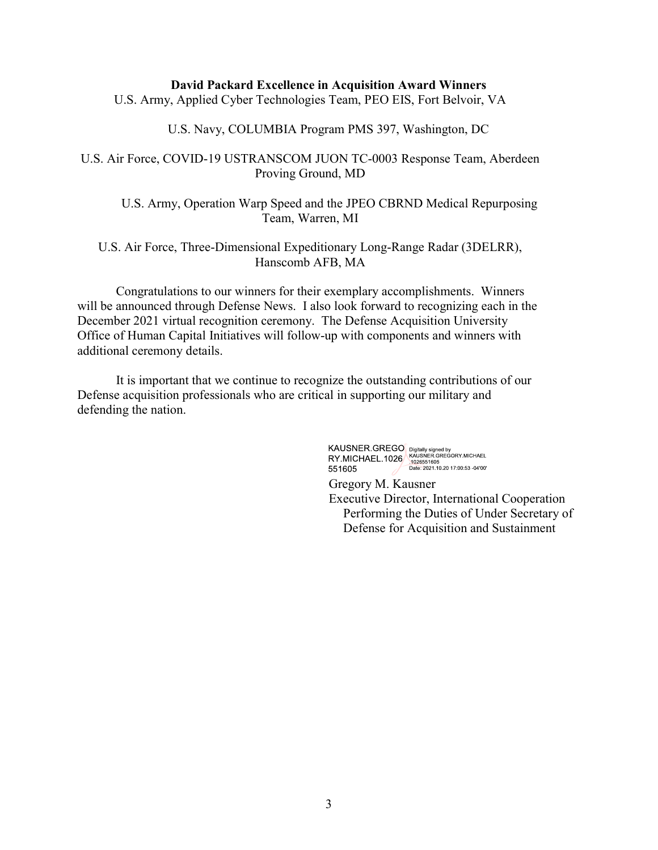### David Packard Excellence in Acquisition Award Winners

U.S. Army, Applied Cyber Technologies Team, PEO EIS, Fort Belvoir, VA

### U.S. Navy, COLUMBIA Program PMS 397, Washington, DC

## U.S. Air Force, COVID-19 USTRANSCOM JUON TC-0003 Response Team, Aberdeen Proving Ground, MD

U.S. Army, Operation Warp Speed and the JPEO CBRND Medical Repurposing Team, Warren, MI

## U.S. Air Force, Three-Dimensional Expeditionary Long-Range Radar (3DELRR), Hanscomb AFB, MA

Congratulations to our winners for their exemplary accomplishments. Winners will be announced through Defense News. I also look forward to recognizing each in the December 2021 virtual recognition ceremony. The Defense Acquisition University Office of Human Capital Initiatives will follow-up with components and winners with additional ceremony details.

 It is important that we continue to recognize the outstanding contributions of our Defense acquisition professionals who are critical in supporting our military and defending the nation.

KAUSNER.GREGO Digitally signed by<br>RY.MICHAEL.1026 AQUSNER.GREGORY.MICHAEL<br>551605 Date: 2021.10.20 17:00:53 -04'00'

Gregory M. Kausner Executive Director, International Cooperation Performing the Duties of Under Secretary of Defense for Acquisition and Sustainment